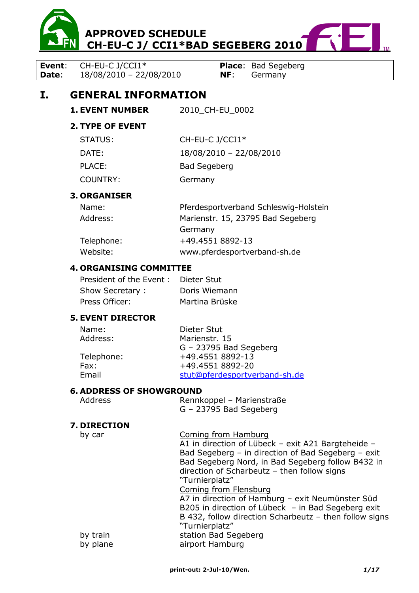**APPROVED SCHEDULE CH-EU-C J/ CCI1\*BAD SEGEBERG 2010** 



|                 |                                            |                                                                                         | L TM                                                                                                                                                                                                                                                                                                                                                                             |
|-----------------|--------------------------------------------|-----------------------------------------------------------------------------------------|----------------------------------------------------------------------------------------------------------------------------------------------------------------------------------------------------------------------------------------------------------------------------------------------------------------------------------------------------------------------------------|
| Event:<br>Date: | CH-EU-C J/CCI1*<br>18/08/2010 - 22/08/2010 | NF:                                                                                     | <b>Place: Bad Segeberg</b><br>Germany                                                                                                                                                                                                                                                                                                                                            |
| I.              | <b>GENERAL INFORMATION</b>                 |                                                                                         |                                                                                                                                                                                                                                                                                                                                                                                  |
|                 | <b>1. EVENT NUMBER</b>                     | 2010 CH-EU 0002                                                                         |                                                                                                                                                                                                                                                                                                                                                                                  |
|                 | <b>2. TYPE OF EVENT</b>                    |                                                                                         |                                                                                                                                                                                                                                                                                                                                                                                  |
|                 | <b>STATUS:</b>                             | CH-EU-C J/CCI1*                                                                         |                                                                                                                                                                                                                                                                                                                                                                                  |
|                 | DATE:                                      | 18/08/2010 - 22/08/2010                                                                 |                                                                                                                                                                                                                                                                                                                                                                                  |
|                 | PLACE:                                     | <b>Bad Segeberg</b>                                                                     |                                                                                                                                                                                                                                                                                                                                                                                  |
|                 | <b>COUNTRY:</b>                            | Germany                                                                                 |                                                                                                                                                                                                                                                                                                                                                                                  |
|                 | <b>3. ORGANISER</b>                        |                                                                                         |                                                                                                                                                                                                                                                                                                                                                                                  |
|                 | Name:                                      |                                                                                         | Pferdesportverband Schleswig-Holstein                                                                                                                                                                                                                                                                                                                                            |
|                 | Address:                                   | Marienstr. 15, 23795 Bad Segeberg                                                       |                                                                                                                                                                                                                                                                                                                                                                                  |
|                 |                                            | Germany                                                                                 |                                                                                                                                                                                                                                                                                                                                                                                  |
|                 | Telephone:                                 | +49.4551 8892-13                                                                        |                                                                                                                                                                                                                                                                                                                                                                                  |
|                 | Website:                                   | www.pferdesportverband-sh.de                                                            |                                                                                                                                                                                                                                                                                                                                                                                  |
|                 | <b>4. ORGANISING COMMITTEE</b>             |                                                                                         |                                                                                                                                                                                                                                                                                                                                                                                  |
|                 | President of the Event: Dieter Stut        |                                                                                         |                                                                                                                                                                                                                                                                                                                                                                                  |
|                 | Show Secretary:                            | Doris Wiemann                                                                           |                                                                                                                                                                                                                                                                                                                                                                                  |
|                 | Press Officer:                             | Martina Brüske                                                                          |                                                                                                                                                                                                                                                                                                                                                                                  |
|                 | <b>5. EVENT DIRECTOR</b>                   |                                                                                         |                                                                                                                                                                                                                                                                                                                                                                                  |
|                 | Name:                                      | Dieter Stut                                                                             |                                                                                                                                                                                                                                                                                                                                                                                  |
|                 | Address:                                   | Marienstr. 15<br>G - 23795 Bad Segeberg                                                 |                                                                                                                                                                                                                                                                                                                                                                                  |
|                 | Telephone:                                 | +49.4551 8892-13                                                                        |                                                                                                                                                                                                                                                                                                                                                                                  |
|                 | Fax:                                       | +49.4551 8892-20                                                                        |                                                                                                                                                                                                                                                                                                                                                                                  |
|                 | Email                                      | stut@pferdesportverband-sh.de                                                           |                                                                                                                                                                                                                                                                                                                                                                                  |
|                 | <b>6. ADDRESS OF SHOWGROUND</b>            |                                                                                         |                                                                                                                                                                                                                                                                                                                                                                                  |
|                 | Address                                    | Rennkoppel - Marienstraße<br>G - 23795 Bad Segeberg                                     |                                                                                                                                                                                                                                                                                                                                                                                  |
|                 | 7. DIRECTION                               |                                                                                         |                                                                                                                                                                                                                                                                                                                                                                                  |
|                 | by car                                     | <b>Coming from Hamburg</b><br>"Turnierplatz"<br>Coming from Flensburg<br>"Turnierplatz" | A1 in direction of Lübeck - exit A21 Bargteheide -<br>Bad Segeberg - in direction of Bad Segeberg - exit<br>Bad Segeberg Nord, in Bad Segeberg follow B432 in<br>direction of Scharbeutz - then follow signs<br>A7 in direction of Hamburg - exit Neumünster Süd<br>B205 in direction of Lübeck - in Bad Segeberg exit<br>B 432, follow direction Scharbeutz - then follow signs |
|                 | by train<br>by plane                       | station Bad Segeberg<br>airport Hamburg                                                 |                                                                                                                                                                                                                                                                                                                                                                                  |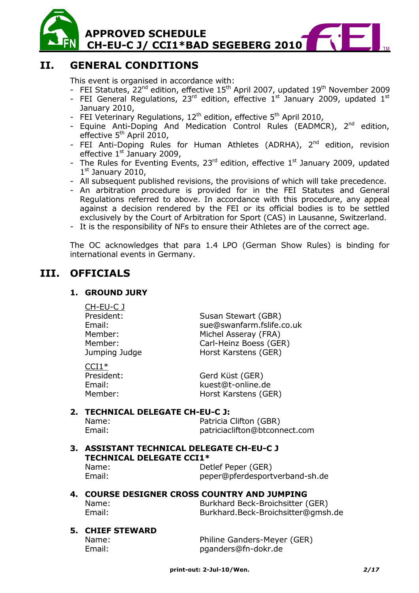

## **II. GENERAL CONDITIONS**

This event is organised in accordance with:

- FEI Statutes,  $22^{nd}$  edition, effective  $15^{th}$  April 2007, updated  $19^{th}$  November 2009
- FEI General Regulations, 23<sup>rd</sup> edition, effective 1<sup>st</sup> January 2009, updated 1<sup>st</sup> January 2010,
- FEI Veterinary Regulations,  $12<sup>th</sup>$  edition, effective  $5<sup>th</sup>$  April 2010,
- Equine Anti-Doping And Medication Control Rules (EADMCR), 2<sup>nd</sup> edition, effective 5<sup>th</sup> April 2010,
- FEI Anti-Doping Rules for Human Athletes (ADRHA), 2<sup>nd</sup> edition, revision effective  $1<sup>st</sup>$  January 2009,
- The Rules for Eventing Events,  $23^{rd}$  edition, effective  $1^{st}$  January 2009, updated 1st January 2010,
- All subsequent published revisions, the provisions of which will take precedence.
- An arbitration procedure is provided for in the FEI Statutes and General Regulations referred to above. In accordance with this procedure, any appeal against a decision rendered by the FEI or its official bodies is to be settled exclusively by the Court of Arbitration for Sport (CAS) in Lausanne, Switzerland.
- It is the responsibility of NFs to ensure their Athletes are of the correct age.

The OC acknowledges that para 1.4 LPO (German Show Rules) is binding for international events in Germany.

## **III. OFFICIALS**

#### **1. GROUND JURY**

| CH-EU-CJ      |                           |
|---------------|---------------------------|
| President:    | Susan Stewart (GBR)       |
| Email:        | sue@swanfarm.fslife.co.uk |
| Member:       | Michel Asseray (FRA)      |
| Member:       | Carl-Heinz Boess (GER)    |
| Jumping Judge | Horst Karstens (GER)      |
|               |                           |

CCI1\*

President: Gerd Küst (GER) Email: kuest@t-online.de Member: Horst Karstens (GER)

#### **2. TECHNICAL DELEGATE CH-EU-C J:**

Name: Patricia Clifton (GBR)<br>Email: Patricia Clifton @btcon Email: patriciaclifton@btconnect.com

#### **3. ASSISTANT TECHNICAL DELEGATE CH-EU-C J TECHNICAL DELEGATE CCI1\***

Name: Detlef Peper (GER) Email: peper@pferdesportverband-sh.de

#### **4. COURSE DESIGNER CROSS COUNTRY AND JUMPING**

| Name:  | Burkhard Beck-Broichsitter (GER)   |
|--------|------------------------------------|
| Email: | Burkhard.Beck-Broichsitter@gmsh.de |

## **5. CHIEF STEWARD**

Name: Philine Ganders-Meyer (GER) Email: pganders@fn-dokr.de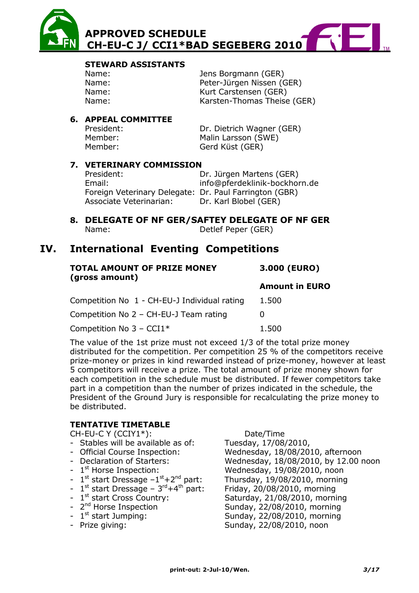

#### **STEWARD ASSISTANTS**

| Name: |  |
|-------|--|
| Name: |  |
| Name: |  |
| Name: |  |

Jens Borgmann (GER) Peter-Jürgen Nissen (GER) Kurt Carstensen (GER) Karsten-Thomas Theise (GER)

### **6. APPEAL COMMITTEE**

President: Dr. Dietrich Wagner (GER) Member: Malin Larsson (SWE) Member: Gerd Küst (GER)

#### **7. VETERINARY COMMISSION**

Foreign Veterinary Delegate: Dr. Paul Farrington (GBR) Associate Veterinarian: Dr. Karl Blobel (GER)

President: Dr. Jürgen Martens (GER) Email: info@pferdeklinik-bockhorn.de

### **8. DELEGATE OF NF GER/SAFTEY DELEGATE OF NF GER**  Name: Detlef Peper (GER)

## **IV. International Eventing Competitions**

| <b>TOTAL AMOUNT OF PRIZE MONEY</b><br>(gross amount) | 3.000 (EURO)          |  |  |
|------------------------------------------------------|-----------------------|--|--|
|                                                      | <b>Amount in EURO</b> |  |  |
| Competition No 1 - CH-EU-J Individual rating         | 1.500                 |  |  |
| Competition No 2 - CH-EU-J Team rating               |                       |  |  |
| Competition No $3 - CCI1*$                           | 1.500                 |  |  |

The value of the 1st prize must not exceed 1/3 of the total prize money distributed for the competition. Per competition 25 % of the competitors receive prize-money or prizes in kind rewarded instead of prize-money, however at least 5 competitors will receive a prize. The total amount of prize money shown for each competition in the schedule must be distributed. If fewer competitors take part in a competition than the number of prizes indicated in the schedule, the President of the Ground Jury is responsible for recalculating the prize money to be distributed.

## **TENTATIVE TIMETABLE**

CH-EU-C Y (CCIY1\*): Date/Time

- Stables will be available as of: Tuesday, 17/08/2010,
- 
- 
- 
- 
- 
- 
- 
- 
- 

- Official Course Inspection: Wednesday, 18/08/2010, afternoon - Declaration of Starters: Wednesday, 18/08/2010, by 12.00 noon - 1<sup>st</sup> Horse Inspection: Wednesday, 19/08/2010, noon -  $1<sup>st</sup> start Dressage  $-1<sup>st</sup>+2<sup>nd</sup>$  part: Thus,  $19/08/2010$ , morning$ -  $1^{\text{st}}$  start Dressage –  $3^{\text{rd}}+4^{\text{th}}$  part: Friday, 20/08/2010, morning<br>-  $1^{\text{st}}$  start Cross Country: Saturday, 21/08/2010, morni <sup>-</sup> 1<sup>st</sup> start Cross Country: Saturday, 21/08/2010, morning<br>- 2<sup>nd</sup> Horse Inspection Sunday, 22/08/2010, morning - 2<sup>nd</sup> Horse Inspection Sunday, 22/08/2010, morning<br>- 1<sup>st</sup> start Jumping: Sunday, 22/08/2010, morning Sunday, 22/08/2010, morning - Prize giving: Sunday, 22/08/2010, noon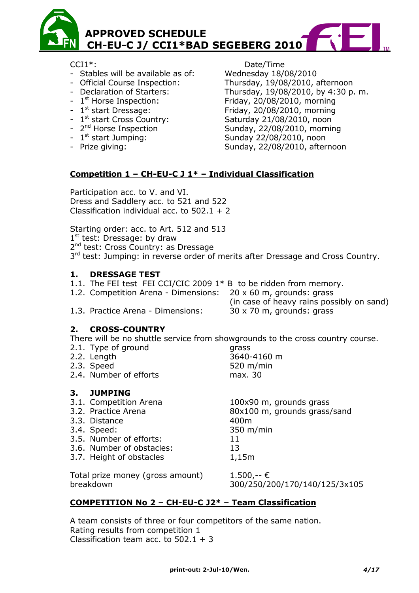**APPROVED SCHEDULE CH-EU-C J/ CCI1\*BAD SEGEBERG 2010** 

- 
- 
- 
- 
- 
- 
- 
- 
- 

CCI1\*: Date/Time - Stables will be available as of: Wednesday 18/08/2010<br>- Official Course Inspection: Thursday, 19/08/2010, a Thursday, 19/08/2010, afternoon - Declaration of Starters: Thursday, 19/08/2010, by 4:30 p. m. - 1<sup>st</sup> Horse Inspection: Friday, 20/08/2010, morning<br>- 1<sup>st</sup> start Dressage: Friday, 20/08/2010, morning - 1<sup>st</sup> start Dressage: Friday, 20/08/2010, morning<br>- 1<sup>st</sup> start Cross Country: Saturday 21/08/2010, noon <sup>-</sup> 1<sup>st</sup> start Cross Country: Saturday 21/08/2010, noon<br>- 2<sup>nd</sup> Horse Inspection Sunday, 22/08/2010, mornii - 2<sup>nd</sup> Horse Inspection Sunday, 22/08/2010, morning<br>- 1<sup>st</sup> start Jumping: Sunday 22/08/2010, noon Sunday 22/08/2010, noon - Prize giving: Sunday, 22/08/2010, afternoon

#### **Competition 1 – CH-EU-C J 1\* – Individual Classification**

Participation acc. to V. and VI. Dress and Saddlery acc. to 521 and 522 Classification individual acc. to  $502.1 + 2$ 

Starting order: acc. to Art. 512 and 513

1<sup>st</sup> test: Dressage: by draw

2<sup>nd</sup> test: Cross Country: as Dressage

3<sup>rd</sup> test: Jumping: in reverse order of merits after Dressage and Cross Country.

#### **1. DRESSAGE TEST**

- 1.1. The FEI test FEI CCI/CIC 2009 1\* B to be ridden from memory.
- 1.2. Competition Arena Dimensions: 20 x 60 m, grounds: grass

1.3. Practice Arena - Dimensions: 30 x 70 m, grounds: grass

(in case of heavy rains possibly on sand)

#### **2. CROSS-COUNTRY**

There will be no shuttle service from showgrounds to the cross country course.

| 2.1. Type of ground    | grass       |
|------------------------|-------------|
| 2.2. Length            | 3640-4160 m |
| 2.3. Speed             | 520 $m/min$ |
| 2.4. Number of efforts | max. 30     |

#### **3. JUMPING**

- 3.1. Competition Arena 100x90 m, grounds grass 3.2. Practice Arena 80x100 m, grounds grass/sand 3.3. Distance 400m
- 3.4. Speed: 350 m/min
- 3.5. Number of efforts: 11
- 3.6. Number of obstacles: 13
- 3.7. Height of obstacles 1,15m

Total prize money (gross amount)  $1.500,-\in$ breakdown 300/250/200/170/140/125/3x105

#### **COMPETITION No 2 – CH-EU-C J2\* – Team Classification**

A team consists of three or four competitors of the same nation. Rating results from competition 1 Classification team acc. to  $502.1 + 3$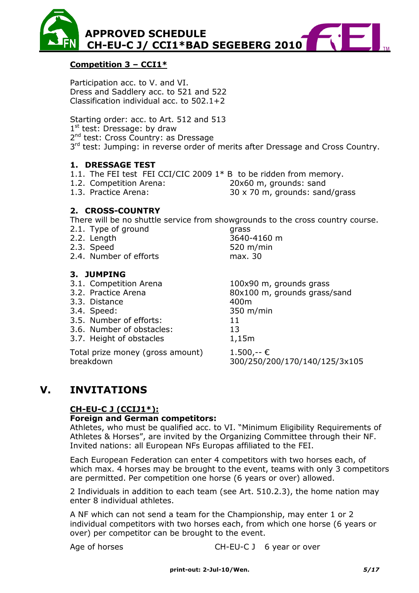

#### **Competition 3 – CCI1\***

Participation acc. to V. and VI. Dress and Saddlery acc. to 521 and 522 Classification individual acc. to 502.1+2

Starting order: acc. to Art. 512 and 513

- 1<sup>st</sup> test: Dressage: by draw
- 2<sup>nd</sup> test: Cross Country: as Dressage
- 3<sup>rd</sup> test: Jumping: in reverse order of merits after Dressage and Cross Country.

#### **1. DRESSAGE TEST**

- 1.1. The FEI test FEI CCI/CIC 2009 1\* B to be ridden from memory.
- 1.2. Competition Arena: 20x60 m, grounds: sand
- 1.3. Practice Arena: 30 x 70 m, grounds: sand/grass

#### **2. CROSS-COUNTRY**

There will be no shuttle service from showgrounds to the cross country course.

- 2.1. Type of ground grass
- 
- 2.3. Speed 520 m/min
- 2.4. Number of efforts max. 30

#### **3. JUMPING**

- 
- 
- 3.3. Distance 400m
- 3.4. Speed: 350 m/min
- 3.5. Number of efforts: 11
- 3.6. Number of obstacles: 13
- 3.7. Height of obstacles 1,15m

Total prize money (gross amount)  $1.500,-\in$ 

2.2. Length 3640-4160 m

3.1. Competition Arena 100x90 m, grounds grass 3.2. Practice Arena 80x100 m, grounds grass/sand

breakdown 300/250/200/170/140/125/3x105

## **V. INVITATIONS**

#### **CH-EU-C J (CCIJ1\*):**

#### **Foreign and German competitors:**

Athletes, who must be qualified acc. to VI. "Minimum Eligibility Requirements of Athletes & Horses", are invited by the Organizing Committee through their NF. Invited nations: all European NFs Europas affiliated to the FEI.

Each European Federation can enter 4 competitors with two horses each, of which max. 4 horses may be brought to the event, teams with only 3 competitors are permitted. Per competition one horse (6 years or over) allowed.

2 Individuals in addition to each team (see Art. 510.2.3), the home nation may enter 8 individual athletes.

A NF which can not send a team for the Championship, may enter 1 or 2 individual competitors with two horses each, from which one horse (6 years or over) per competitor can be brought to the event.

Age of horses CH-EU-C J 6 year or over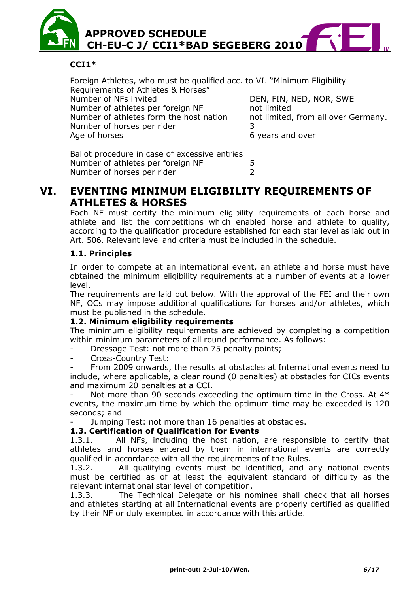

#### **CCI1\***

Foreign Athletes, who must be qualified acc. to VI. "Minimum Eligibility Requirements of Athletes & Horses" Number of NFs invited DEN, FIN, NED, NOR, SWE Number of athletes per foreign NF not limited Number of athletes form the host nation not limited, from all over Germany. Number of horses per rider 3 Age of horses 6 years and over

Ballot procedure in case of excessive entries Number of athletes per foreign NF 5 Number of horses per rider 2

## **VI. EVENTING MINIMUM ELIGIBILITY REQUIREMENTS OF ATHLETES & HORSES**

Each NF must certify the minimum eligibility requirements of each horse and athlete and list the competitions which enabled horse and athlete to qualify, according to the qualification procedure established for each star level as laid out in Art. 506. Relevant level and criteria must be included in the schedule.

#### **1.1. Principles**

In order to compete at an international event, an athlete and horse must have obtained the minimum eligibility requirements at a number of events at a lower level.

The requirements are laid out below. With the approval of the FEI and their own NF, OCs may impose additional qualifications for horses and/or athletes, which must be published in the schedule.

#### **1.2. Minimum eligibility requirements**

The minimum eligibility requirements are achieved by completing a competition within minimum parameters of all round performance. As follows:

- Dressage Test: not more than 75 penalty points;
- Cross-Country Test:

From 2009 onwards, the results at obstacles at International events need to include, where applicable, a clear round (0 penalties) at obstacles for CICs events and maximum 20 penalties at a CCI.

Not more than 90 seconds exceeding the optimum time in the Cross. At  $4*$ events, the maximum time by which the optimum time may be exceeded is 120 seconds; and

Jumping Test: not more than 16 penalties at obstacles.

#### **1.3. Certification of Qualification for Events**

1.3.1. All NFs, including the host nation, are responsible to certify that athletes and horses entered by them in international events are correctly qualified in accordance with all the requirements of the Rules.

1.3.2. All qualifying events must be identified, and any national events must be certified as of at least the equivalent standard of difficulty as the relevant international star level of competition.

1.3.3. The Technical Delegate or his nominee shall check that all horses and athletes starting at all International events are properly certified as qualified by their NF or duly exempted in accordance with this article.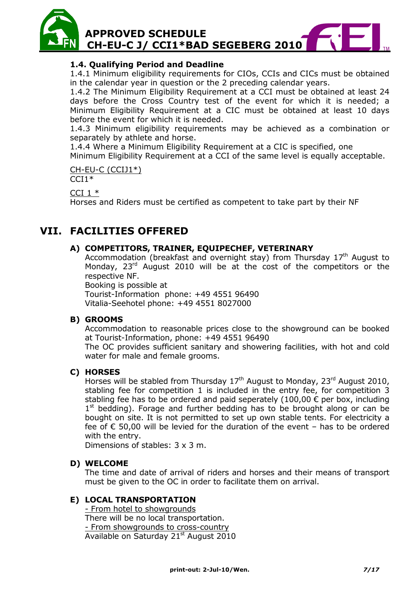

#### **1.4. Qualifying Period and Deadline**

1.4.1 Minimum eligibility requirements for CIOs, CCIs and CICs must be obtained in the calendar year in question or the 2 preceding calendar years.

1.4.2 The Minimum Eligibility Requirement at a CCI must be obtained at least 24 days before the Cross Country test of the event for which it is needed; a Minimum Eligibility Requirement at a CIC must be obtained at least 10 days before the event for which it is needed.

1.4.3 Minimum eligibility requirements may be achieved as a combination or separately by athlete and horse.

1.4.4 Where a Minimum Eligibility Requirement at a CIC is specified, one

Minimum Eligibility Requirement at a CCI of the same level is equally acceptable.

CH-EU-C (CCIJ1\*)  $CCI1*$ 

CCI  $1 *$ 

Horses and Riders must be certified as competent to take part by their NF

## **VII. FACILITIES OFFERED**

#### **A) COMPETITORS, TRAINER, EQUIPECHEF, VETERINARY**

Accommodation (breakfast and overnight stay) from Thursday  $17<sup>th</sup>$  August to Monday, 23<sup>rd</sup> August 2010 will be at the cost of the competitors or the respective NF.

Booking is possible at

Tourist-Information phone: +49 4551 96490

Vitalia-Seehotel phone: +49 4551 8027000

#### **B) GROOMS**

Accommodation to reasonable prices close to the showground can be booked at Tourist-Information, phone: +49 4551 96490

The OC provides sufficient sanitary and showering facilities, with hot and cold water for male and female grooms.

#### **C) HORSES**

Horses will be stabled from Thursday  $17<sup>th</sup>$  August to Monday,  $23<sup>rd</sup>$  August 2010, stabling fee for competition 1 is included in the entry fee, for competition 3 stabling fee has to be ordered and paid seperately (100,00  $\epsilon$  per box, including 1<sup>st</sup> bedding). Forage and further bedding has to be brought along or can be bought on site. It is not permitted to set up own stable tents. For electricity a fee of  $\epsilon$  50,00 will be levied for the duration of the event – has to be ordered with the entry.

Dimensions of stables: 3 x 3 m.

#### **D) WELCOME**

The time and date of arrival of riders and horses and their means of transport must be given to the OC in order to facilitate them on arrival.

#### **E) LOCAL TRANSPORTATION**

- From hotel to showgrounds There will be no local transportation. - From showgrounds to cross-country Available on Saturday 21<sup>st</sup> August 2010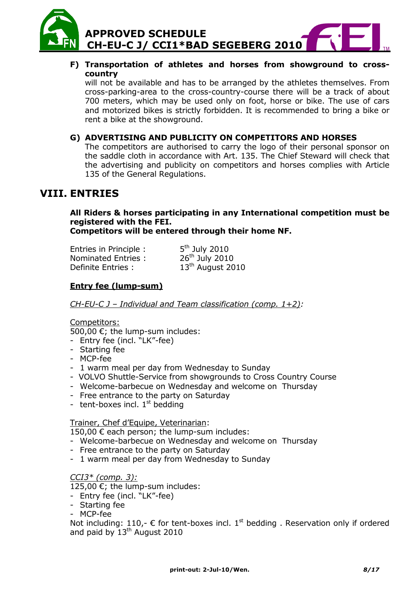

#### **F) Transportation of athletes and horses from showground to crosscountry**

will not be available and has to be arranged by the athletes themselves. From cross-parking-area to the cross-country-course there will be a track of about 700 meters, which may be used only on foot, horse or bike. The use of cars and motorized bikes is strictly forbidden. It is recommended to bring a bike or rent a bike at the showground.

#### **G) ADVERTISING AND PUBLICITY ON COMPETITORS AND HORSES**

The competitors are authorised to carry the logo of their personal sponsor on the saddle cloth in accordance with Art. 135. The Chief Steward will check that the advertising and publicity on competitors and horses complies with Article 135 of the General Regulations.

## **VIII. ENTRIES**

**All Riders & horses participating in any International competition must be registered with the FEI.** 

**Competitors will be entered through their home NF.** 

| Entries in Principle : | $5th$ July 2010    |
|------------------------|--------------------|
| Nominated Entries :    | $26th$ July 2010   |
| Definite Entries :     | $13th$ August 2010 |

#### **Entry fee (lump-sum)**

*CH-EU-C J – Individual and Team classification (comp. 1+2):* 

#### Competitors:

500,00 €; the lump-sum includes:

- Entry fee (incl. "LK"-fee)
- Starting fee
- MCP-fee
- 1 warm meal per day from Wednesday to Sunday
- VOLVO Shuttle-Service from showgrounds to Cross Country Course
- Welcome-barbecue on Wednesday and welcome on Thursday
- Free entrance to the party on Saturday
- tent-boxes incl.  $1<sup>st</sup>$  bedding

#### Trainer, Chef d'Equipe, Veterinarian:

150,00 € each person; the lump-sum includes:

- Welcome-barbecue on Wednesday and welcome on Thursday
- Free entrance to the party on Saturday
- 1 warm meal per day from Wednesday to Sunday

#### *CCI3\* (comp. 3):*

125,00 €; the lump-sum includes:

- Entry fee (incl. "LK"-fee)
- Starting fee
- MCP-fee

Not including:  $110,-\epsilon$  for tent-boxes incl. 1<sup>st</sup> bedding . Reservation only if ordered and paid by  $13<sup>th</sup>$  August 2010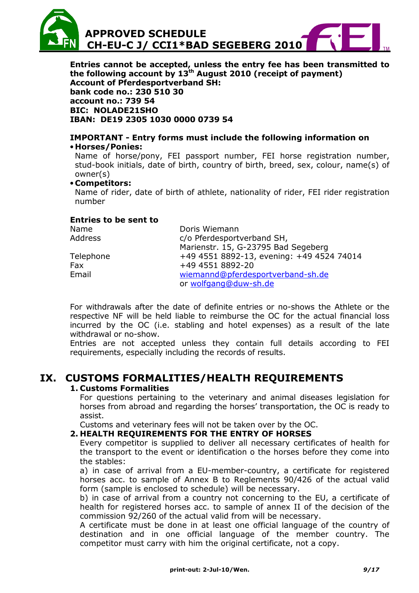

**Entries cannot be accepted, unless the entry fee has been transmitted to the following account by 13th August 2010 (receipt of payment) Account of Pferdesportverband SH: bank code no.: 230 510 30 account no.: 739 54 BIC: NOLADE21SHO IBAN: DE19 2305 1030 0000 0739 54** 

#### **IMPORTANT - Entry forms must include the following information on**  • **Horses/Ponies:**

Name of horse/pony, FEI passport number, FEI horse registration number, stud-book initials, date of birth, country of birth, breed, sex, colour, name(s) of owner(s)

#### • **Competitors:**

Name of rider, date of birth of athlete, nationality of rider, FEI rider registration number

#### **Entries to be sent to**

| Name           | Doris Wiemann                             |
|----------------|-------------------------------------------|
| <b>Address</b> | c/o Pferdesportverband SH,                |
|                | Marienstr. 15, G-23795 Bad Segeberg       |
| Telephone      | +49 4551 8892-13, evening: +49 4524 74014 |
| Fax            | +49 4551 8892-20                          |
| Email          | wiemannd@pferdesportverband-sh.de         |
|                | or wolfgang@duw-sh.de                     |

For withdrawals after the date of definite entries or no-shows the Athlete or the respective NF will be held liable to reimburse the OC for the actual financial loss incurred by the OC (i.e. stabling and hotel expenses) as a result of the late withdrawal or no-show.

Entries are not accepted unless they contain full details according to FEI requirements, especially including the records of results.

## **IX. CUSTOMS FORMALITIES/HEALTH REQUIREMENTS**

#### **1. Customs Formalities**

For questions pertaining to the veterinary and animal diseases legislation for horses from abroad and regarding the horses' transportation, the OC is ready to assist.

Customs and veterinary fees will not be taken over by the OC.

#### **2. HEALTH REQUIREMENTS FOR THE ENTRY OF HORSES**

Every competitor is supplied to deliver all necessary certificates of health for the transport to the event or identification o the horses before they come into the stables:

a) in case of arrival from a EU-member-country, a certificate for registered horses acc. to sample of Annex B to Reglements 90/426 of the actual valid form (sample is enclosed to schedule) will be necessary.

b) in case of arrival from a country not concerning to the EU, a certificate of health for registered horses acc. to sample of annex II of the decision of the commission 92/260 of the actual valid from will be necessary.

A certificate must be done in at least one official language of the country of destination and in one official language of the member country. The competitor must carry with him the original certificate, not a copy.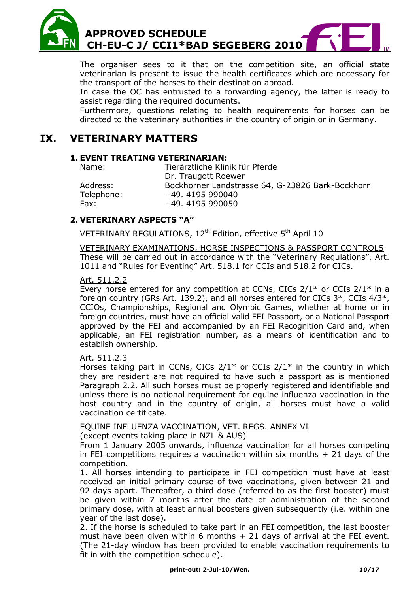

The organiser sees to it that on the competition site, an official state veterinarian is present to issue the health certificates which are necessary for the transport of the horses to their destination abroad.

In case the OC has entrusted to a forwarding agency, the latter is ready to assist regarding the required documents.

Furthermore, questions relating to health requirements for horses can be directed to the veterinary authorities in the country of origin or in Germany.

## **IX. VETERINARY MATTERS**

#### **1. EVENT TREATING VETERINARIAN:**

Name: Tierärztliche Klinik für Pferde Dr. Traugott Roewer<br>Bockhorner Landstra Bockhorner Landstrasse 64, G-23826 Bark-Bockhorn Telephone: +49. 4195 990040 Fax: +49. 4195 990050

#### **2. VETERINARY ASPECTS "A"**

VETERINARY REGULATIONS, 12<sup>th</sup> Edition, effective 5<sup>th</sup> April 10

VETERINARY EXAMINATIONS, HORSE INSPECTIONS & PASSPORT CONTROLS These will be carried out in accordance with the "Veterinary Regulations", Art. 1011 and "Rules for Eventing" Art. 518.1 for CCIs and 518.2 for CICs.

#### Art. 511.2.2

Every horse entered for any competition at CCNs, CICs  $2/1*$  or CCIs  $2/1*$  in a foreign country (GRs Art. 139.2), and all horses entered for CICs  $3^*$ , CCIs  $4/3^*$ , CCIOs, Championships, Regional and Olympic Games, whether at home or in foreign countries, must have an official valid FEI Passport, or a National Passport approved by the FEI and accompanied by an FEI Recognition Card and, when applicable, an FEI registration number, as a means of identification and to establish ownership.

#### Art. 511.2.3

Horses taking part in CCNs, CICs  $2/1*$  or CCIs  $2/1*$  in the country in which they are resident are not required to have such a passport as is mentioned Paragraph 2.2. All such horses must be properly registered and identifiable and unless there is no national requirement for equine influenza vaccination in the host country and in the country of origin, all horses must have a valid vaccination certificate.

#### EQUINE INFLUENZA VACCINATION, VET. REGS. ANNEX VI

(except events taking place in NZL & AUS)

From 1 January 2005 onwards, influenza vaccination for all horses competing in FEI competitions requires a vaccination within six months  $+$  21 days of the competition.

1. All horses intending to participate in FEI competition must have at least received an initial primary course of two vaccinations, given between 21 and 92 days apart. Thereafter, a third dose (referred to as the first booster) must be given within 7 months after the date of administration of the second primary dose, with at least annual boosters given subsequently (i.e. within one year of the last dose).

2. If the horse is scheduled to take part in an FEI competition, the last booster must have been given within 6 months  $+$  21 days of arrival at the FEI event. (The 21-day window has been provided to enable vaccination requirements to fit in with the competition schedule).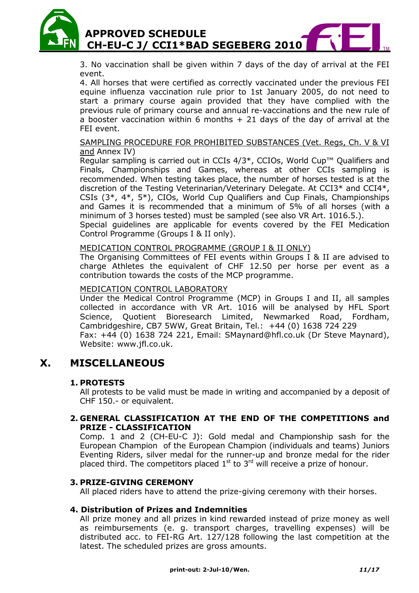

3. No vaccination shall be given within 7 days of the day of arrival at the FEI event.

4. All horses that were certified as correctly vaccinated under the previous FEI equine influenza vaccination rule prior to 1st January 2005, do not need to start a primary course again provided that they have complied with the previous rule of primary course and annual re-vaccinations and the new rule of a booster vaccination within 6 months  $+$  21 days of the day of arrival at the FEI event.

#### SAMPLING PROCEDURE FOR PROHIBITED SUBSTANCES (Vet. Regs, Ch. V & VI and Annex IV)

Regular sampling is carried out in CCIs 4/3<sup>\*</sup>, CCIOs, World Cup<sup>™</sup> Qualifiers and Finals, Championships and Games, whereas at other CCIs sampling is recommended. When testing takes place, the number of horses tested is at the discretion of the Testing Veterinarian/Veterinary Delegate. At CCI3\* and CCI4\*, CSIs (3\*, 4\*, 5\*), CIOs, World Cup Qualifiers and Cup Finals, Championships and Games it is recommended that a minimum of 5% of all horses (with a minimum of 3 horses tested) must be sampled (see also VR Art. 1016.5.).

Special guidelines are applicable for events covered by the FEI Medication Control Programme (Groups I & II only).

#### MEDICATION CONTROL PROGRAMME (GROUP I & II ONLY)

The Organising Committees of FEI events within Groups I & II are advised to charge Athletes the equivalent of CHF 12.50 per horse per event as a contribution towards the costs of the MCP programme.

#### MEDICATION CONTROL LABORATORY

Under the Medical Control Programme (MCP) in Groups I and II, all samples collected in accordance with VR Art. 1016 will be analysed by HFL Sport Science, Quotient Bioresearch Limited, Newmarked Road, Fordham, Cambridgeshire, CB7 5WW, Great Britain, Tel.: +44 (0) 1638 724 229 Fax: +44 (0) 1638 724 221, Email: SMaynard@hfl.co.uk (Dr Steve Maynard), Website: www.jfl.co.uk.

## **X. MISCELLANEOUS**

#### **1. PROTESTS**

All protests to be valid must be made in writing and accompanied by a deposit of CHF 150.- or equivalent.

#### **2. GENERAL CLASSIFICATION AT THE END OF THE COMPETITIONS and PRIZE - CLASSIFICATION**

Comp. 1 and 2 (CH-EU-C J): Gold medal and Championship sash for the European Champion of the European Champion (individuals and teams) Juniors Eventing Riders, silver medal for the runner-up and bronze medal for the rider placed third. The competitors placed  $1<sup>st</sup>$  to  $3<sup>rd</sup>$  will receive a prize of honour.

#### **3. PRIZE-GIVING CEREMONY**

All placed riders have to attend the prize-giving ceremony with their horses.

#### **4. Distribution of Prizes and Indemnities**

All prize money and all prizes in kind rewarded instead of prize money as well as reimbursements (e. g. transport charges, travelling expenses) will be distributed acc. to FEI-RG Art. 127/128 following the last competition at the latest. The scheduled prizes are gross amounts.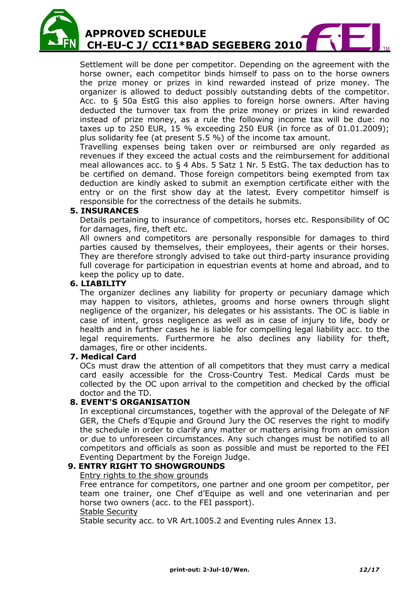

Settlement will be done per competitor. Depending on the agreement with the horse owner, each competitor binds himself to pass on to the horse owners the prize money or prizes in kind rewarded instead of prize money. The organizer is allowed to deduct possibly outstanding debts of the competitor. Acc. to § 50a EstG this also applies to foreign horse owners. After having deducted the turnover tax from the prize money or prizes in kind rewarded instead of prize money, as a rule the following income tax will be due: no taxes up to 250 EUR, 15 % exceeding 250 EUR (in force as of 01.01.2009); plus solidarity fee (at present 5.5 %) of the income tax amount.

Travelling expenses being taken over or reimbursed are only regarded as revenues if they exceed the actual costs and the reimbursement for additional meal allowances acc. to § 4 Abs. 5 Satz 1 Nr. 5 EstG. The tax deduction has to be certified on demand. Those foreign competitors being exempted from tax deduction are kindly asked to submit an exemption certificate either with the entry or on the first show day at the latest. Every competitor himself is responsible for the correctness of the details he submits.

#### **5. INSURANCES**

Details pertaining to insurance of competitors, horses etc. Responsibility of OC for damages, fire, theft etc.

All owners and competitors are personally responsible for damages to third parties caused by themselves, their employees, their agents or their horses. They are therefore strongly advised to take out third-party insurance providing full coverage for participation in equestrian events at home and abroad, and to keep the policy up to date.

#### **6. LIABILITY**

The organizer declines any liability for property or pecuniary damage which may happen to visitors, athletes, grooms and horse owners through slight negligence of the organizer, his delegates or his assistants. The OC is liable in case of intent, gross negligence as well as in case of injury to life, body or health and in further cases he is liable for compelling legal liability acc. to the legal requirements. Furthermore he also declines any liability for theft, damages, fire or other incidents.

#### **7. Medical Card**

OCs must draw the attention of all competitors that they must carry a medical card easily accessible for the Cross-Country Test. Medical Cards must be collected by the OC upon arrival to the competition and checked by the official doctor and the TD.

#### **8. EVENT'S ORGANISATION**

In exceptional circumstances, together with the approval of the Delegate of NF GER, the Chefs d'Equpie and Ground Jury the OC reserves the right to modify the schedule in order to clarify any matter or matters arising from an omission or due to unforeseen circumstances. Any such changes must be notified to all competitors and officials as soon as possible and must be reported to the FEI Eventing Department by the Foreign Judge.

#### **9. ENTRY RIGHT TO SHOWGROUNDS**

#### Entry rights to the show grounds

Free entrance for competitors, one partner and one groom per competitor, per team one trainer, one Chef d'Equipe as well and one veterinarian and per horse two owners (acc. to the FEI passport).

#### Stable Security

Stable security acc. to VR Art.1005.2 and Eventing rules Annex 13.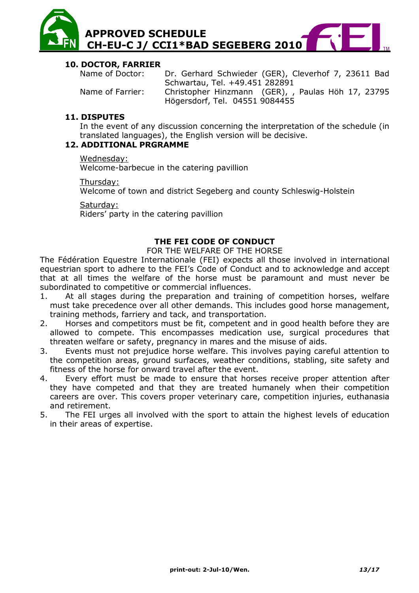

#### **10. DOCTOR, FARRIER**

Name of Doctor: Dr. Gerhard Schwieder (GER), Cleverhof 7, 23611 Bad Schwartau, Tel. +49.451 282891 Name of Farrier: Christopher Hinzmann (GER), , Paulas Höh 17, 23795

Högersdorf, Tel. 04551 9084455

#### **11. DISPUTES**

In the event of any discussion concerning the interpretation of the schedule (in translated languages), the English version will be decisive.

#### **12. ADDITIONAL PRGRAMME**

#### Wednesday:

Welcome-barbecue in the catering pavillion

Thursday:

Welcome of town and district Segeberg and county Schleswig-Holstein

Saturday:

Riders' party in the catering pavillion

#### **THE FEI CODE OF CONDUCT**

FOR THE WELFARE OF THE HORSE

The Fédération Equestre Internationale (FEI) expects all those involved in international equestrian sport to adhere to the FEI's Code of Conduct and to acknowledge and accept that at all times the welfare of the horse must be paramount and must never be subordinated to competitive or commercial influences.

- 1. At all stages during the preparation and training of competition horses, welfare must take precedence over all other demands. This includes good horse management, training methods, farriery and tack, and transportation.
- 2. Horses and competitors must be fit, competent and in good health before they are allowed to compete. This encompasses medication use, surgical procedures that threaten welfare or safety, pregnancy in mares and the misuse of aids.
- 3. Events must not prejudice horse welfare. This involves paying careful attention to the competition areas, ground surfaces, weather conditions, stabling, site safety and fitness of the horse for onward travel after the event.
- 4. Every effort must be made to ensure that horses receive proper attention after they have competed and that they are treated humanely when their competition careers are over. This covers proper veterinary care, competition injuries, euthanasia and retirement.
- 5. The FEI urges all involved with the sport to attain the highest levels of education in their areas of expertise.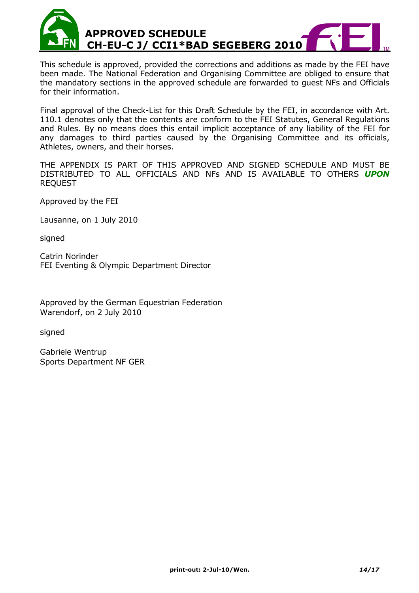

This schedule is approved, provided the corrections and additions as made by the FEI have been made. The National Federation and Organising Committee are obliged to ensure that the mandatory sections in the approved schedule are forwarded to guest NFs and Officials for their information.

Final approval of the Check-List for this Draft Schedule by the FEI, in accordance with Art. 110.1 denotes only that the contents are conform to the FEI Statutes, General Regulations and Rules. By no means does this entail implicit acceptance of any liability of the FEI for any damages to third parties caused by the Organising Committee and its officials, Athletes, owners, and their horses.

THE APPENDIX IS PART OF THIS APPROVED AND SIGNED SCHEDULE AND MUST BE DISTRIBUTED TO ALL OFFICIALS AND NFs AND IS AVAILABLE TO OTHERS *UPON*  **REQUEST** 

Approved by the FEI

Lausanne, on 1 July 2010

signed

Catrin Norinder FEI Eventing & Olympic Department Director

Approved by the German Equestrian Federation Warendorf, on 2 July 2010

signed

Gabriele Wentrup Sports Department NF GER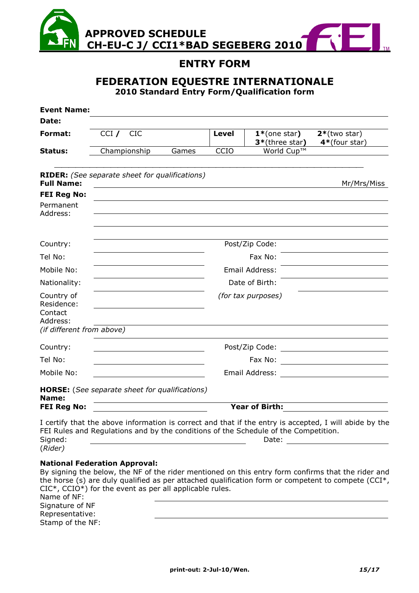

## **ENTRY FORM**

# **FEDERATION EQUESTRE INTERNATIONALE**

**2010 Standard Entry Form/Qualification form** 

| <b>Event Name:</b>                              |                                                       |       |              |                                                                                                                                                                                                                                |                                                         |
|-------------------------------------------------|-------------------------------------------------------|-------|--------------|--------------------------------------------------------------------------------------------------------------------------------------------------------------------------------------------------------------------------------|---------------------------------------------------------|
| Date:                                           |                                                       |       |              |                                                                                                                                                                                                                                |                                                         |
| Format:                                         | CCI / CIC                                             |       | <b>Level</b> | $1*(one star)$<br>3*(three star)                                                                                                                                                                                               | $2*(two star)$<br>$4*(four star)$                       |
| Status:                                         | Championship                                          | Games | CCIO         | World Cup™                                                                                                                                                                                                                     |                                                         |
| <b>Full Name:</b>                               | <b>RIDER:</b> (See separate sheet for qualifications) |       |              |                                                                                                                                                                                                                                | Mr/Mrs/Miss                                             |
| <b>FEI Reg No:</b>                              |                                                       |       |              |                                                                                                                                                                                                                                |                                                         |
| Permanent<br>Address:                           |                                                       |       |              |                                                                                                                                                                                                                                |                                                         |
| Country:                                        |                                                       |       |              | Post/Zip Code:                                                                                                                                                                                                                 |                                                         |
| Tel No:                                         |                                                       |       |              | Fax No:                                                                                                                                                                                                                        |                                                         |
| Mobile No:                                      |                                                       |       |              | Email Address:                                                                                                                                                                                                                 |                                                         |
|                                                 |                                                       |       |              | Date of Birth:                                                                                                                                                                                                                 |                                                         |
| Nationality:                                    |                                                       |       |              |                                                                                                                                                                                                                                |                                                         |
| Country of<br>Residence:<br>Contact<br>Address: |                                                       |       |              | (for tax purposes)                                                                                                                                                                                                             |                                                         |
| (if different from above)                       |                                                       |       |              |                                                                                                                                                                                                                                |                                                         |
| Country:                                        |                                                       |       |              | Post/Zip Code: Note that the control of the control of the control of the control of the control of the control of the control of the control of the control of the control of the control of the control of the control of th |                                                         |
| Tel No:                                         |                                                       |       |              |                                                                                                                                                                                                                                |                                                         |
| Mobile No:                                      |                                                       |       |              | Email Address:                                                                                                                                                                                                                 | <u> 1989 - Andrea State Barbara, política establece</u> |
| Name:                                           | <b>HORSE:</b> (See separate sheet for qualifications) |       |              |                                                                                                                                                                                                                                |                                                         |
| <b>FEI Reg No:</b>                              |                                                       |       |              | <b>Year of Birth:</b>                                                                                                                                                                                                          |                                                         |
|                                                 |                                                       |       |              | the contract of the contract of the contract of the contract of the contract of the contract of the contract of                                                                                                                |                                                         |

I certify that the above information is correct and that if the entry is accepted, I will abide by the FEI Rules and Regulations and by the conditions of the Schedule of the Competition. Signed: Date: (*Rider)* 

#### **National Federation Approval:**

By signing the below, the NF of the rider mentioned on this entry form confirms that the rider and the horse (s) are duly qualified as per attached qualification form or competent to compete (CCI $^*$ ,  $CIC^*$ ,  $CCIO^*$ ) for the event as per all applicable rules.

Name of NF: Signature of NF Representative: Stamp of the NF: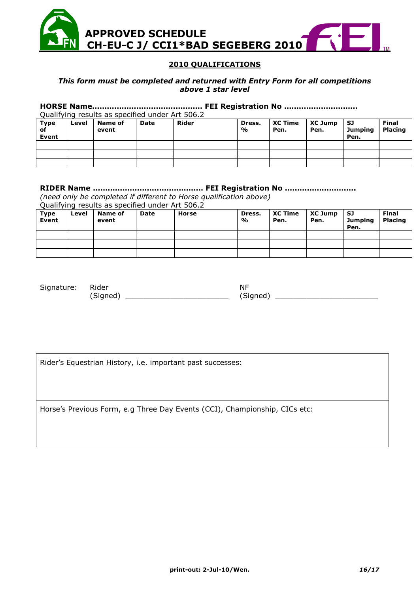

#### **2010 QUALIFICATIONS**

#### *This form must be completed and returned with Entry Form for all competitions above 1 star level*

#### **HORSE Name……………………………………… FEI Registration No …………………………**

Qualifying results as specified under Art 506.2

| <b>Type</b><br>of<br><b>Event</b> | Level | Name of<br>event | <b>Date</b> | Rider | Dress.<br>% | XC Time<br>Pen. | XC Jump<br>Pen. | -SJ<br><b>Jumping</b><br>Pen. | <b>Final</b><br><b>Placing</b> |
|-----------------------------------|-------|------------------|-------------|-------|-------------|-----------------|-----------------|-------------------------------|--------------------------------|
|                                   |       |                  |             |       |             |                 |                 |                               |                                |
|                                   |       |                  |             |       |             |                 |                 |                               |                                |
|                                   |       |                  |             |       |             |                 |                 |                               |                                |

#### **RIDER Name ……………………………………… FEI Registration No ………………………..**

*(need only be completed if different to Horse qualification above)* Qualifying results as specified under Art 506.2

| <b>Type</b><br><b>Event</b> | Level | Name of<br>event | <b>Date</b> | <b>Horse</b> | Dress.<br>% | <b>XC Time</b><br>Pen. | <b>XC Jump</b><br>Pen. | l SJ<br><b>Jumping</b><br>Pen. | <b>Final</b><br><b>Placing</b> |
|-----------------------------|-------|------------------|-------------|--------------|-------------|------------------------|------------------------|--------------------------------|--------------------------------|
|                             |       |                  |             |              |             |                        |                        |                                |                                |
|                             |       |                  |             |              |             |                        |                        |                                |                                |
|                             |       |                  |             |              |             |                        |                        |                                |                                |

Signature: Rider NF

(Signed) \_\_\_\_\_\_\_\_\_\_\_\_\_\_\_\_\_\_\_\_\_\_\_ (Signed) \_\_\_\_\_\_\_\_\_\_\_\_\_\_\_\_\_\_\_\_\_\_\_

Rider's Equestrian History, i.e. important past successes:

Horse's Previous Form, e.g Three Day Events (CCI), Championship, CICs etc: